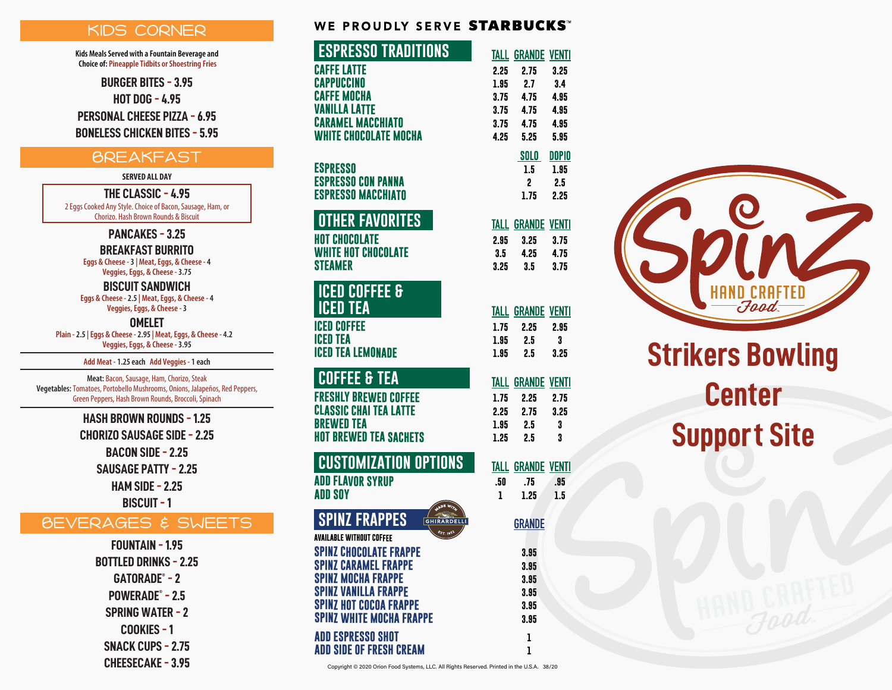## KIDS CORNER

**Kids Meals Served with a Fountain Beverage and Choice of: Pineapple Tidbits or Shoestring Fries**

**BURGER BITES - 3.95**

**HOT DOG - 4.95**

**PERSONAL CHEESE PIZZA - 6.95**

**BONELESS CHICKEN BITES - 5.95**

## **BREAKFAST**

#### **SERVED ALL DAY**

**THE CLASSIC - 4.95** 2 Eggs Cooked Any Style. Choice of Bacon, Sausage, Ham, or Chorizo. Hash Brown Rounds & Biscuit

**PANCAKES - 3.25**

**Eggs & Cheese - 3 | Meat, Eggs, & Cheese - 4 BREAKFAST BURRITO**

**Veggies, Eggs, & Cheese - 3.75**

**Eggs & Cheese - 2.5 | Meat, Eggs, & Cheese - 4 Veggies, Eggs, & Cheese - 3 BISCUIT SANDWICH**

**Plain - 2.5 | Eggs & Cheese - 2.95 | Meat, Eggs, & Cheese - 4.2 Veggies, Eggs, & Cheese - 3.95 OMELET**

**Add Meat - 1.25 each Add Veggies - 1 each**

**Meat:** Bacon, Sausage, Ham, Chorizo, Steak **Vegetables:** Tomatoes, Portobello Mushrooms, Onions, Jalapeños, Red Peppers, Green Peppers, Hash Brown Rounds, Broccoli, Spinach

> **HASH BROWN ROUNDS - 1.25 CHORIZO SAUSAGE SIDE - 2.25 BACON SIDE - 2.25 SAUSAGE PATTY - 2.25 HAM SIDE - 2.25 BISCUIT - 1**

## BEVERAGES & SWEETS

**FOUNTAIN - 1.95 BOTTLED DRINKS - 2.25 GATORADE® - 2 POWERADE® - 2.5 SPRING WATER - 2 COOKIES - 1 SNACK CUPS - 2.75 CHEESECAKE - 3.95**

| WE PROUDLY SERVE <b>STARBUCKS</b> " |  |
|-------------------------------------|--|
|-------------------------------------|--|

| <b>ESPRESSO TRADITIONS</b>                             |              | <b>TALL GRANDE VENTI</b> |              |
|--------------------------------------------------------|--------------|--------------------------|--------------|
| <b>CAFFE LATTE</b>                                     | 2.25         | 2.75                     | $3.25\,$     |
| CAPPUCCINO                                             | 1.95         | 2.7                      | 3.4          |
| <b>CAFFE MOCHA</b>                                     | 3.75         | 4.75                     | 4.95         |
| VANILLA LATTE                                          | 3.75         | 4.75                     | 4.95         |
| <b>CARAMEL MACCHIATO</b>                               | 3.75         | 4.75                     | 4.95         |
| WHITE CHOCOLATE MOCHA                                  | 4.25         | 5.25                     | 5.95         |
|                                                        |              | SOLO                     | <b>DOPIO</b> |
| ESPRESSO                                               |              | 1.5                      | 1.95         |
| <b>ESPRESSO CON PANNA</b>                              |              | 2                        | 2.5          |
| <b>ESPRESSO MACCHIATO</b>                              |              | 1.75                     | 2.25         |
| OTHER FAVORITES                                        |              | <b>TALL GRANDE VENTI</b> |              |
| <b>HOT CHOCOLATE</b>                                   | 2.95         | 3.25                     | 3.75         |
| WHITE HOT CHOCOLATE                                    | 3.5          | 4.25                     | 4.75         |
| <b>STEAMER</b>                                         | 3.25         | 3.5                      | 3.75         |
|                                                        |              |                          |              |
| <b>COFFEE &amp;</b><br>ICED                            |              |                          |              |
| ICED<br><b>TEA</b>                                     |              | <b>TALL GRANDE VENTI</b> |              |
| <b>ICED COFFEE</b>                                     | 1.75         | 2.25                     | 2.95         |
| <b>ICED TEA</b>                                        | 1.95         | 2.5                      | 3            |
| <b>ICED TEA LEMONADE</b>                               | 1.95         | 2.5                      | 3.25         |
| <u>Coffee &amp; Tea</u>                                |              |                          |              |
|                                                        | TALL         | <b>GRANDE</b>            | <b>VENTI</b> |
| <b>FRESHLY BREWED COFFEE</b><br>CLASSIC CHAI TEA LATTE | 1.75         | 2.25                     | 2.75         |
| <b>BREWED TEA</b>                                      | 2.25<br>1.95 | 2.75<br>2.5              | 3.25<br>3    |
| HOT BREWED TEA SACHETS                                 | 1.25         | 2.5                      | 3            |
|                                                        |              |                          |              |
| <b>CUSTOMIZATION OPTIONS</b>                           | TALL         | <b>GRANDE VENTI</b>      |              |
| <b>ADD FLAVOR SYRUP</b>                                | .50          | .75                      | .95          |
| ADD SOY                                                | ı            | 1.25                     | 1.5          |
|                                                        |              |                          |              |
| <b>SPINZ FRAPPES</b><br><b>GHIRA</b><br><b>RDELLI</b>  |              | <b>GRANDE</b>            |              |
| AVAILABLE WITHOUT COFFEE                               |              |                          |              |
| <b>SPINZ CHOCOLATE FRAPPE</b>                          |              | 3.95                     |              |
| <b>SPINZ CARAMEL FRAPPE</b>                            |              | 3.95                     |              |
| <b>SPINZ MOCHA FRAPPE</b>                              |              | 3.95                     |              |
| <b>SPINZ VANILLA FRAPPE</b>                            |              | 3.95                     |              |
| <b>SPINZ HOT COCOA FRAPPE</b>                          |              | 3.95                     |              |
| <b>SPINZ WHITE MOCHA FRAPPE</b>                        |              | 3.95                     |              |
| <b>ADD ESPRESSO SHOT</b>                               |              | ı                        |              |
| <b>ADD SIDE OF FRESH CREAM</b>                         |              | ı                        |              |

Copyright © 2020 Orion Food Systems, LLC. All Rights Reserved. Printed in the U.S.A. 38/20



# **Strikers Bowling Center Support Site**